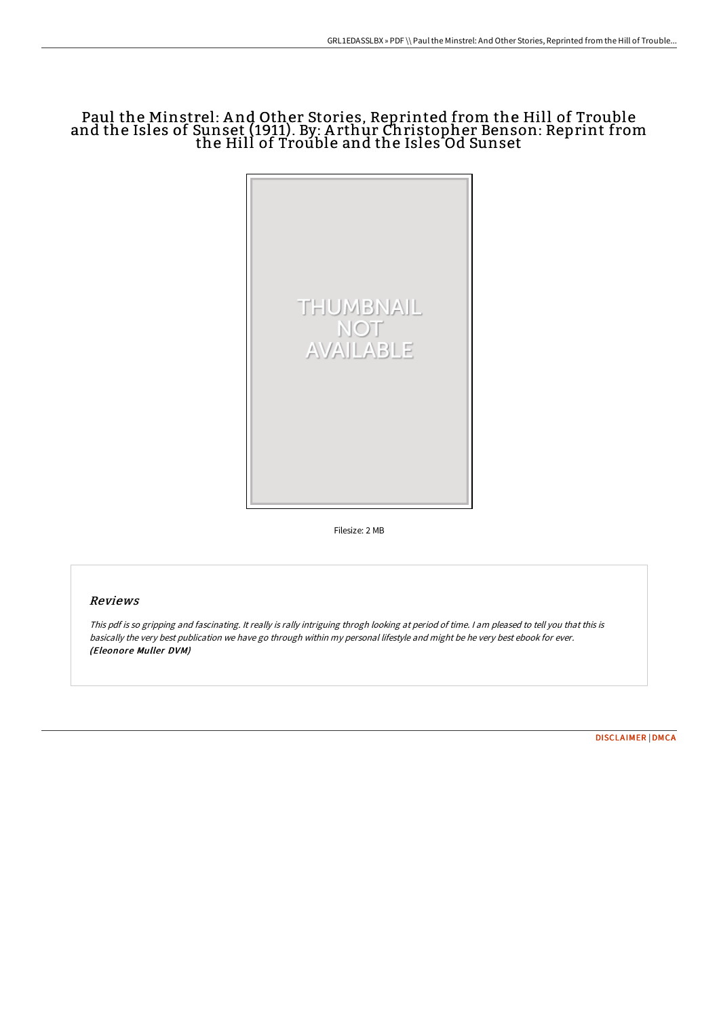# Paul the Minstrel: A nd Other Stories, Reprinted from the Hill of Trouble and the Isles of Sunset (1911). By: A rthur Christopher Benson: Reprint from the Hill of Trouble and the Isles Od Sunset



Filesize: 2 MB

## Reviews

This pdf is so gripping and fascinating. It really is rally intriguing throgh looking at period of time. <sup>I</sup> am pleased to tell you that this is basically the very best publication we have go through within my personal lifestyle and might be he very best ebook for ever. (Eleonore Muller DVM)

[DISCLAIMER](http://bookera.tech/disclaimer.html) | [DMCA](http://bookera.tech/dmca.html)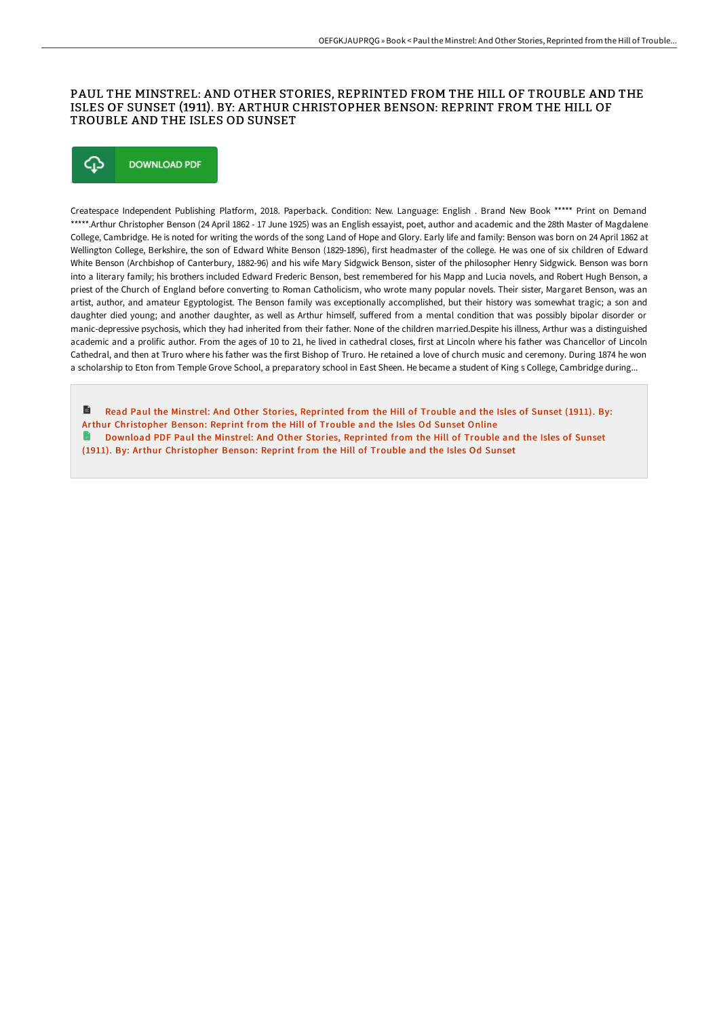### PAUL THE MINSTREL: AND OTHER STORIES, REPRINTED FROM THE HILL OF TROUBLE AND THE ISLES OF SUNSET (1911). BY: ARTHUR CHRISTOPHER BENSON: REPRINT FROM THE HILL OF TROUBLE AND THE ISLES OD SUNSET

# ঞ **DOWNLOAD PDF**

Createspace Independent Publishing Platform, 2018. Paperback. Condition: New. Language: English . Brand New Book \*\*\*\*\* Print on Demand \*\*\*\*\*.Arthur Christopher Benson (24 April 1862 - 17 June 1925) was an English essayist, poet, author and academic and the 28th Master of Magdalene College, Cambridge. He is noted for writing the words of the song Land of Hope and Glory. Early life and family: Benson was born on 24 April 1862 at Wellington College, Berkshire, the son of Edward White Benson (1829-1896), first headmaster of the college. He was one of six children of Edward White Benson (Archbishop of Canterbury, 1882-96) and his wife Mary Sidgwick Benson, sister of the philosopher Henry Sidgwick. Benson was born into a literary family; his brothers included Edward Frederic Benson, best remembered for his Mapp and Lucia novels, and Robert Hugh Benson, a priest of the Church of England before converting to Roman Catholicism, who wrote many popular novels. Their sister, Margaret Benson, was an artist, author, and amateur Egyptologist. The Benson family was exceptionally accomplished, but their history was somewhat tragic; a son and daughter died young; and another daughter, as well as Arthur himself, suffered from a mental condition that was possibly bipolar disorder or manic-depressive psychosis, which they had inherited from their father. None of the children married.Despite his illness, Arthur was a distinguished academic and a prolific author. From the ages of 10 to 21, he lived in cathedral closes, first at Lincoln where his father was Chancellor of Lincoln Cathedral, and then at Truro where his father was the first Bishop of Truro. He retained a love of church music and ceremony. During 1874 he won a scholarship to Eton from Temple Grove School, a preparatory school in East Sheen. He became a student of King s College, Cambridge during...

Read Paul the Minstrel: And Other Stories, Reprinted from the Hill of Trouble and the Isles of Sunset (1911). By: Arthur [Christopher](http://bookera.tech/paul-the-minstrel-and-other-stories-reprinted-fr.html) Benson: Reprint from the Hill of Trouble and the Isles Od Sunset Online G. Download PDF Paul the Minstrel: And Other Stories, Reprinted from the Hill of Trouble and the Isles of Sunset (1911). By: Arthur [Christopher](http://bookera.tech/paul-the-minstrel-and-other-stories-reprinted-fr.html) Benson: Reprint from the Hill of Trouble and the Isles Od Sunset